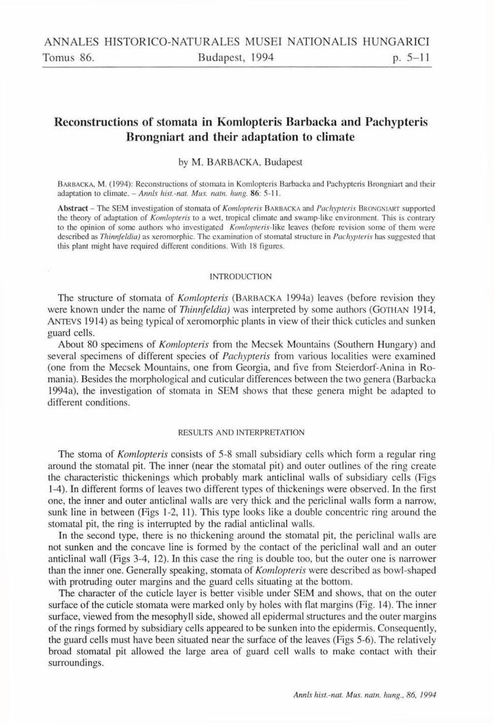# **Reconstructions of stomata in Komlopteris Barbacka and Pachypteris Brongniart and their adaptation to climate**

# by M. BARBACKA, Budapest

BARBACKA, M. (1994): Reconstructions of stomata in Komlopteris Barbacka and Pachypteris Brongniart and their adaptation to climate. *- Annls hist.-nat. Mus. natu. hung.* 86: 5-11.

Abstract - The SEM investigation of stomata of *Komlopteris* BARBACKA and *Pachypteris* BRONGNIART supported the theory of adaptation of *Komlopteris* to a wet, tropical climate and swamp-like environment. This is contrary to the opinion of some authors who investigated *Komlopteris-like* leaves (before revision some of them were described as *Thinnfeldia)* as xeromorphic. The examination of stomatal structure in *Pachypteris* has suggested that this plant might have required different conditions. With 18 figures.

#### INTRODUCTION

The structure of stomata of *Komlopteris* (BARBACKA 1994a) leaves (before revision Ihey were known under the name of *Thinnfeldia*) was interpreted by some authors (GOTHAN 1914, ANTEVS 1914) as being typical of xeromorphic plants in view of their thick cuticles and sunken guard cells.

About 80 specimens of *Komlopteris* from the Mecsek Mountains (Southern Hungary) and several specimens of different species of *Pachypteris* from various localities were examined (one from the Mecsek Mountains, one from Georgia, and five from Steierdorf-Anina in Romania). Besides the morphological and cuticular differences between the two genera (Barbacka 1994a), the investigation of stomata in SEM shows that these genera might be adapted to different conditions.

### RESULTS AND INTERPRETATION

The stoma of *Komlopteris* consists of 5-8 small subsidiary cells which form a regular ring around the stomatal pit. The inner (near the stomatal pit) and outer outlines of the ring create the characteristic thickenings which probably mark anticlinal walls of subsidiary cells (Figs 1-4). In different forms of leaves two different types of thickenings were observed. In the first one, the inner and outer anticlinal walls are very thick and the periclinal walls form a narrow, sunk line in between (Figs 1-2, 11). This type looks like a double concentric ring around the stomatal pit, the ring is interrupted by the radial anticlinal walls.

In the second type, there is no thickening around the stomatal pit, the periclinal walls are not sunken and the concave line is formed by the contact of the periclinal wall and an outer anticlinal wall (Figs 3-4, 12). In this case the ring is double too, but the outer one is narrower than the inner one. Generally speaking, stomata of *Komlopteris* were described as bowl-shaped with protruding outer margins and the guard cells situating at the bottom.

The character of the cuticle layer is better visible under SEM and shows, that on the outer surface of the cuticle stomata were marked only by holes with flat margins (Fig. 14). The inner surface, viewed from the mesophyll side, showed all epidermal structures and the outer margins of the rings formed by subsidiary cells appeared to be sunken into the epidermis. Consequently, the guard cells must have been situated near the surface of the leaves (Figs 5-6). The relatively broad stomatal pit allowed the large area of guard cell walls to make contact with their surroundings.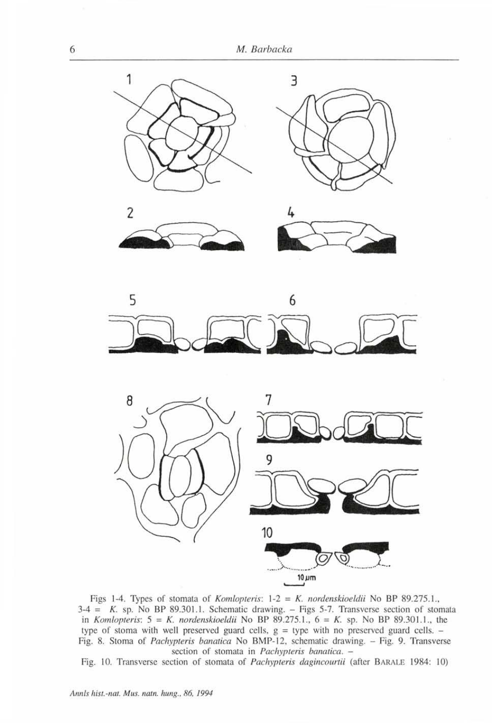









Figs 1-4. Types of stomata of *Komlopteris*:  $1-2 = K$ . *nordenskioeldii* No BP 89.275.1.,  $3-4 = K$ . sp. No BP 89.301.1. Schematic drawing.  $-$  Figs 5-7. Transverse section of stomata in *Komlopteris:*  $5 = K$ . *nordenskioeldii* No BP 89.275.1.,  $6 = K$ . sp. No BP 89.301.1., the type of stoma with well preserved guard cells,  $g =$  type with no preserved guard cells.  $-$ Fig. 8. Stoma of *Pachypteris banatica* No BMP-12, schematic drawing. - Fig. 9. Transverse section of stomata in *Pachypteris banatica. -*

Fig. 10. Transverse section of stomata of *Pachypteris dagincourtii* (after BARALE 1984: 10)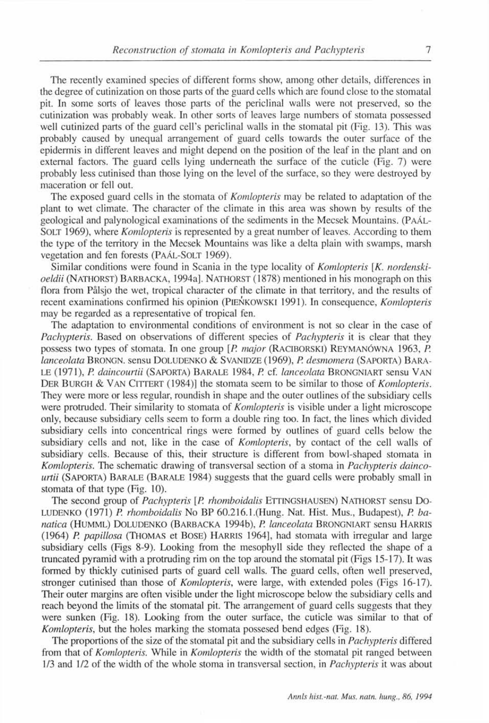The recently examined species of different forms show, among other details, differences in the degree of cutinization on those parts of the guard cells which are found close to the stomatal pit. In some sorts of leaves those parts of the periclinal walls were not preserved, so the cutinization was probably weak. In other sorts of leaves large numbers of stomata possessed well cutinized parts of the guard cell's periclinal walls in the stomatal pit (Fig. 13). This was probably caused by unequal arrangement of guard cells towards the outer surface of the epidermis in different leaves and might depend on the position of the leaf in the plant and on external factors. The guard cells lying underneath the surface of the cuticle (Fig. 7) were probably less cutinised than those lying on the level of the surface, so they were destroyed by maceration or fell out.

The exposed guard cells in the stomata of *Komlopteris* may be related to adaptation of the plant to wet climate. The character of the climate in this area was shown by results of the geological and palynological examinations of the sediments in the Mecsek Mountains. (PAÁL-SOLT 1969), where *Komlopteris* is represented by a great number of leaves. According to them the type of the territory in the Mecsek Mountains was like a delta plain with swamps, marsh vegetation and fen forests (PAÁL-SOLT 1969).

Similar conditions were found in Scania in the type locality of *Komlopteris [K. nordenskioeldii* (NATHORST) BARBACKA , 1994a]. NATHORST (1878) mentioned in his monograph on this flora from Pâlsjo the wet, tropical character of the climate in that territory, and the results of recent examinations confirmed his opinion (PiENKOWSKl 1991). In consequence, *Komlopteris*  may be regarded as a representative of tropical fen.

The adaptation to environmental conditions of environment is not so clear in the case of *Pachypteris.* Based on observations of different species of *Pachypteris* it is clear that they possess two types of stomata. In one group *[P. major* (RACIBORSKI) REYMANÓWN A 1963, *P. lanceolata* BRONGN. sensu DOLUDENK O & SVANIDZE (1969), *P. desmomera* (SAPORTA) BARA - LE (1971), P. daincourtii (SAPORTA) BARALE 1984, P. cf. lanceolata BRONGNIART sensu VAN DER BURGH & VAN CITTERT (1984)] the stomata seem to be similar to those of *Komlopteris*. They were more or less regular, roundish in shape and the outer outlines of the subsidiary cells were protruded. Their similarity to stomata of *Komlopteris* is visible under a light microscope only, because subsidiary cells seem to form a double ring too. In fact, the lines which divided subsidiary cells into concentrical rings were formed by outlines of guard cells below the subsidiary cells and not, like in the case of *Komlopteris,* by contact of the cell walls of subsidiary cells. Because of this, their structure is different from bowl-shaped stomata in *Komlopteris.* The schematic drawing of transversal section of a stoma in *Pachypteris daincourtii* (SAPORTA) BARALE (BARALE 1984) suggests that the guard cells were probably small in stomata of that type (Fig. 10).

The second group of *Pachypteris [P. rhomboidalis* ETTINGSHAUSEN) NATHORST sensu Do-LUDENKO (1971) *P. rhomboidalis* No BP 60.216.1.(Hung. Nat. Hist. Mus., Budapest), *P. ba*natica (HUMML) DOLUDENKO (BARBACKA 1994b), P. lanceolata BRONGNIART sensu HARRIS (1964) *P. papillosa* (THOMAS et BOSE) HARRIS 1964], had stomata with irregular and large subsidiary cells (Figs 8-9). Looking from the mesophyll side they reflected the shape of a truncated pyramid with a protruding rim on the top around the stomatal pit (Figs 15-17). It was formed by thickly cutinised parts of guard cell walls. The guard cells, often well preserved, stronger cutinised than those of *Komlopteris,* were large, with extended poles (Figs 16-17). Their outer margins are often visible under the light microscope below the subsidiary cells and reach beyond the limits of the stomatal pit. The arrangement of guard cells suggests that they were sunken (Fig. 18). Looking from the outer surface, the cuticle was similar to that of *Komlopteris,* but the holes marking the stomata possesed bend edges (Fig. 18).

The proportions of the size of the stomatal pit and the subsidiary cells in *Pachypteris* differed from that of *Komlopteris.* While in *Komlopteris* the width of the stomatal pit ranged between 1/3 and 1/2 of the width of the whole stoma in transversal section, in *Pachypteris* it was about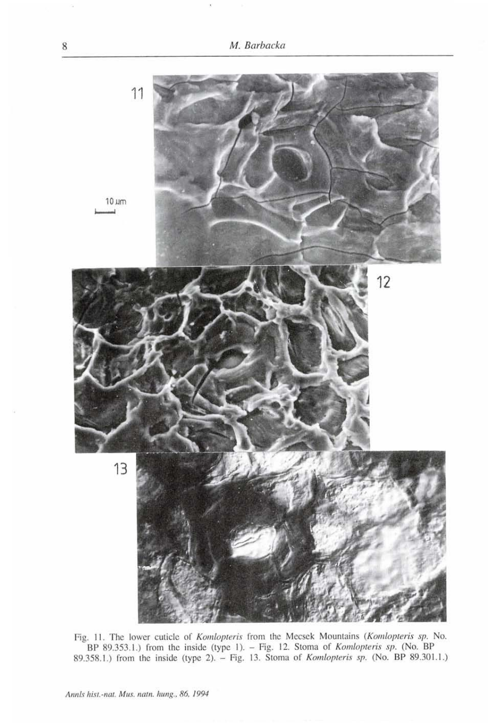

Fig. 11. The lower cuticle of *Komlopteris* from the Mecsek Mountains *(Komlopteris sp.* No. BP 89.353.1.) from the inside (type 1). - Fig. 12. Stoma of *Komlopteris sp.* (No. BP 89.358.1.) from the inside (type 2). - Fig. 13. Stoma of *Komlopteris sp.* (No. BP 89.301.1.)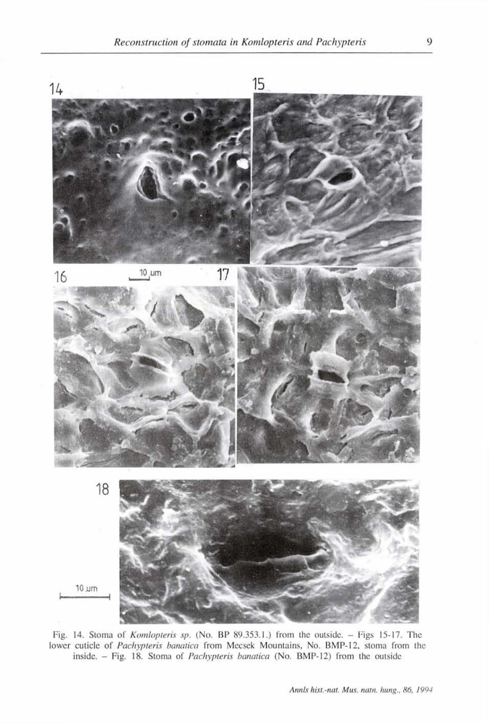

Fig. 14. Stoma of *Komlopteris sp.* (No. BP 89.353.1.) from the outside. - Figs 15-17. The lower cuticle of *Pachypteris banatica* from Mecsek Mountains, No. BMP-12, stoma from the inside. - Fig. 18. Stoma of *Pachypteris banatica* (No. BMP-12) from the outside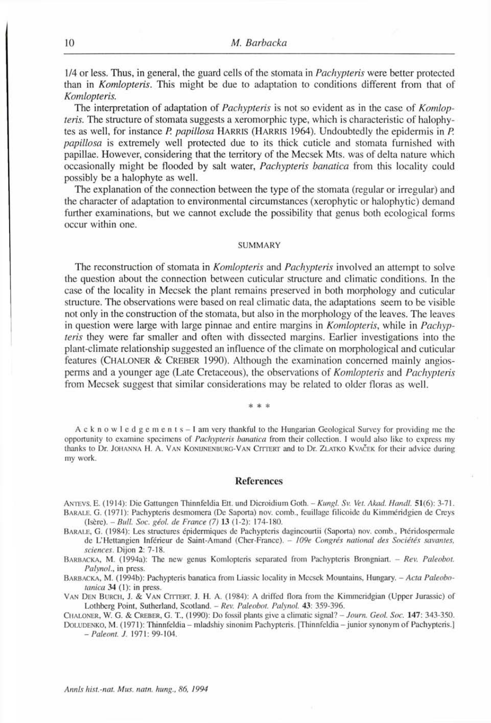1/4 or less. Thus, in general, the guard cells of the stomata in *Pachypteris* were better protected than in *Komlopteris.* This might be due to adaptation to conditions different from that of *Komlopteris.* 

The interpretation of adaptation of *Pachypteris* is not so evident as in the case of *Komlopteris.* The structure of stomata suggests a xeromorphic type, which is characteristic of halophytes as well, for instance *P. papulosa* HARRIS (HARRIS 1964). Undoubtedly the epidermis in *P. papulosa* is extremely well protected due to its thick cuticle and stomata furnished with papillae. However, considering that the territory of the Mecsek Mts. was of delta nature which occasionally might be flooded by salt water, *Pachypteris banatica* from this locality could possibly be a halophyte as well.

The explanation of the connection between the type of the stomata (regular or irregular) and the character of adaptation to environmental circumstances (xerophytic or halophytic) demand further examinations, but we cannot exclude the possibility that genus both ecological forms occur within one.

#### SUMMARY

The reconstruction of stomata in *Komlopteris* and *Pachypteris* involved an attempt to solve the question about the connection between cuticular structure and climatic conditions. In the case of the locality in Mecsek the plant remains preserved in both morphology and cuticular structure. The observations were based on real climatic data, the adaptations seem to be visible not only in the construction of the stomata, but also in the morphology of the leaves. The leaves in question were large with large pinnae and entire margins in *Komlopteris,* while in *Pachypteris* they were far smaller and often with dissected margins. Earlier investigations into the plant-climate relationship suggested an influence of the climate on morphological and cuticular features (CHALONER & CREBER 1990). Although the examination concerned mainly angiosperms and a younger age (Late Cretaceous), the observations of *Komlopteris* and *Pachypteris*  from Mecsek suggest that similar considerations may be related to older floras as well.

\* \* \*

Acknowledg e m ents- I am very thankful to the Hungarian Geological Survey for providing me the opportunity to examine specimens of *Pachypteris banatica* from their collection. I would also like to express my thanks to Dr. JOHANNA H. A. VAN KONIJNENBURO-VAN CITTERT and to Dr. ZLATKO KVACEK for their advice during my work.

## **References**

ANTEVS. E. (1914): Die Gattungen Thinnfeldia Ett. und Dicroidium Goth. - *Kungl. Sv. Vet. Akad. Mandl.* 51(6): 3-71. BARALE, G. (1971): Pachypteris desmomera (De Saporta) nov. comb., feuillage filicoide du Kimméridgien de Creys (Isère). - *Bull. Soc. géol. de France (7)* **13** (1-2): 174-180.

BARALE, G. (1984): Les structures épidermiques de Pachypteris dagincourtii (Saporta) nov. comb., Ptéridospcrmale de L'Hettangien Inférieur de Saint-Amand (Cher-France). - 109e Congrés national des Sociétés savantes, *sciences.* Dijon **2:** 7-18.

BARBACKA, M. (1994a): The new genus Komlopteris separated from Pachypteris Brongniart. - *Rev. Paleobot. Palynol.,* in press.

BARBACKA, M. (1994b): Pachypteris banatica from Liassic locality in Mecsek Mountains, Hungary. - *Acta Paleobotanica* **34** (1): in press.

VAN DEN BURCH, J. & VAN CITTERT, J. H. A. (1984): A driffed flora from the Kimmeridgian (Upper Jurassic) of Lothberg Point, Sutherland, Scotland. - *Rev. Paleobot. Palynol.* **43:** 359-396.

CHALONER, W. G. & CREBER, G. T, (1990): Do fossil plants give a climatic signal? - *Joum. Geot. Soc.* **147:** 343-350.

DOLUDENKO, M. (1971): Thinnfeldia - mladshiy sinonim Pachypteris. [Thinnfeldia - junior synonym of Pachypteris.] *-Paleont. J.* 1971: 99-104.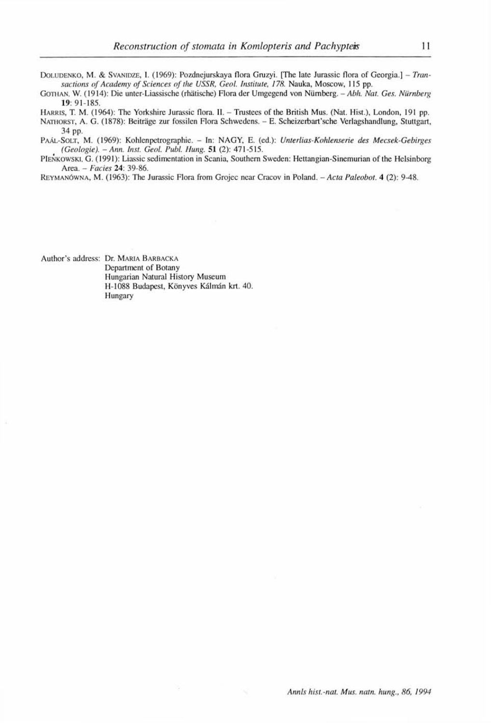DOLUDENKO, M. & SVANIDZE, I. (1969): Pozdnejurskaya flora Gruzyi. [The late Jurassic flora of Georgia.] - *Transactions of Academy of Sciences of the USSR, Geol. institute, 178.* Nauka, Moscow, 115 pp.

GOTHAN, W. (1914): Die unter-Liassische (rhätische) Flora der Umgegend von Nürnberg. - Abh. Nat. Ges. Nürnberg 19: 91-185.

HARRIS, T. M. (1964): The Yorkshire Jurassic flora. II. - Trustees of the British Mus. (Nat. Hist.), London, 191 pp.

NATHORST, A. G. (1878): Beiträge zur fossilen Flora Schwedens. - E. Scheizerbart'sche Verlagshandlung, Stuttgart, 34 pp.

PAÁL-SOLT, M. (1969): Kohlenpetrographie. - In: NAGY, E. (ed.): Unterlias-Kohlenserie des Mecsek-Gebirges *(Geologie). - Ann. Inst. Geol. Publ. Hung.* **51** (2): 471-515.

PIENKOWSKI, G. (1991): Liassic sedimentation in Scania, Southern Sweden: Hettangian-Sinemurian of the Helsinborg Area. - *Faciès* **24:** 39-86.

REYMANÓWNA, M . (1963): The Jurassic Flora from Grojec near Cracov in Poland. - *Acta Paleobot.* **4** (2): 9-48.

Author's address: Dr. MARIA BARBACKA Department of Botany Hungarian Natural History Museum H-1088 Budapest, Könyves Kálmán krt. 40. Hungary